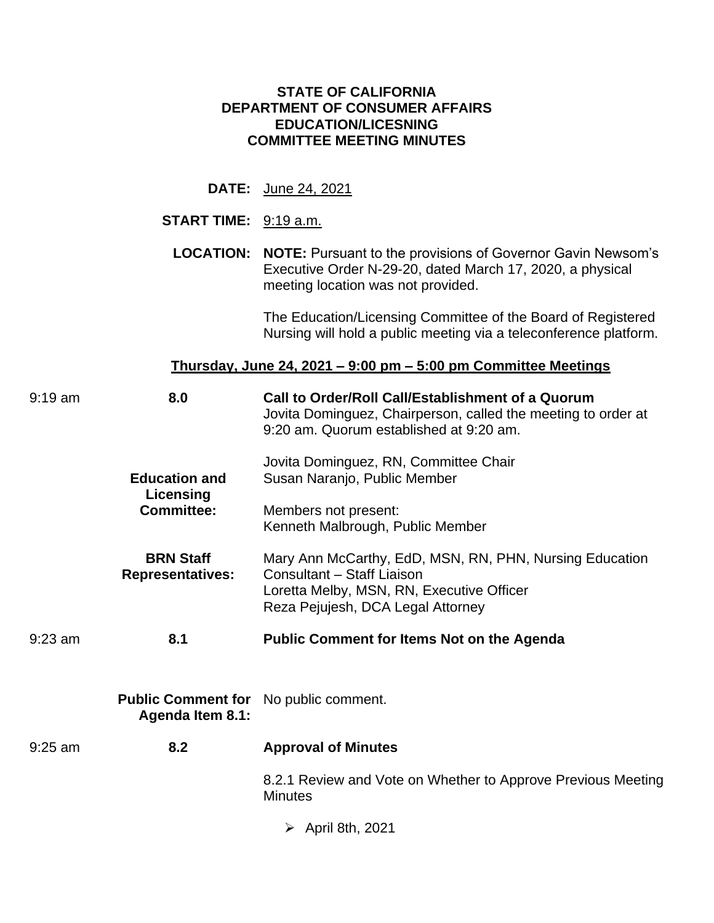## **STATE OF CALIFORNIA DEPARTMENT OF CONSUMER AFFAIRS EDUCATION/LICESNING COMMITTEE MEETING MINUTES**

**DATE:** June 24, 2021

### **START TIME:** 9:19 a.m.

LOCATION: NOTE: Pursuant to the provisions of Governor Gavin Newsom's Executive Order N-29-20, dated March 17, 2020, a physical meeting location was not provided.

> The Education/Licensing Committee of the Board of Registered Nursing will hold a public meeting via a teleconference platform.

### **Thursday, June 24, 2021 – 9:00 pm – 5:00 pm Committee Meetings**

| 8.0<br>$9:19$ am               |                                                      | Call to Order/Roll Call/Establishment of a Quorum<br>Jovita Dominguez, Chairperson, called the meeting to order at<br>9:20 am. Quorum established at 9:20 am.           |  |  |
|--------------------------------|------------------------------------------------------|-------------------------------------------------------------------------------------------------------------------------------------------------------------------------|--|--|
|                                | <b>Education and</b>                                 | Jovita Dominguez, RN, Committee Chair<br>Susan Naranjo, Public Member                                                                                                   |  |  |
| Licensing<br><b>Committee:</b> |                                                      | Members not present:<br>Kenneth Malbrough, Public Member                                                                                                                |  |  |
|                                | <b>BRN Staff</b><br><b>Representatives:</b>          | Mary Ann McCarthy, EdD, MSN, RN, PHN, Nursing Education<br>Consultant - Staff Liaison<br>Loretta Melby, MSN, RN, Executive Officer<br>Reza Pejujesh, DCA Legal Attorney |  |  |
| $9:23$ am                      | 8.1                                                  | <b>Public Comment for Items Not on the Agenda</b>                                                                                                                       |  |  |
|                                | <b>Public Comment for</b><br><b>Agenda Item 8.1:</b> | No public comment.                                                                                                                                                      |  |  |
| $9:25$ am                      | 8.2                                                  | <b>Approval of Minutes</b>                                                                                                                                              |  |  |
|                                |                                                      | 8.2.1 Review and Vote on Whether to Approve Previous Meeting<br><b>Minutes</b>                                                                                          |  |  |
|                                |                                                      | $\triangleright$ April 8th, 2021                                                                                                                                        |  |  |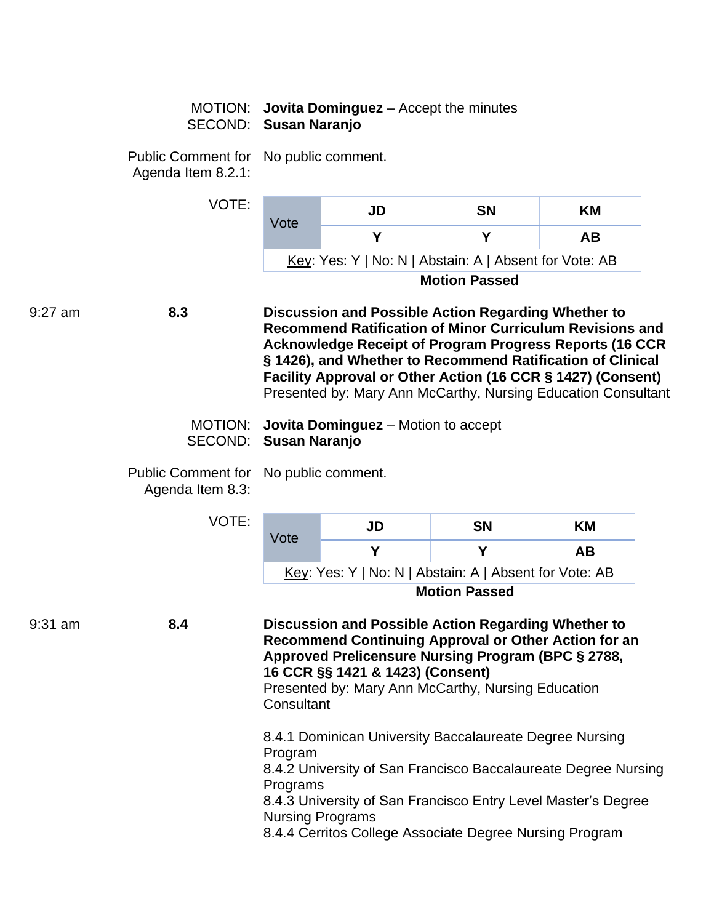### MOTION: **Jovita Dominguez** – Accept the minutes SECOND: **Susan Naranjo**

Public Comment for No public comment. Agenda Item 8.2.1:

| VOTE: | Vote                                                   | JD | <b>SN</b> | KM |  |
|-------|--------------------------------------------------------|----|-----------|----|--|
|       |                                                        |    |           | AВ |  |
|       | Key: Yes: Y   No: N   Abstain: A   Absent for Vote: AB |    |           |    |  |
|       | <b>Motion Passed</b>                                   |    |           |    |  |

9:27 am **8.3 Discussion and Possible Action Regarding Whether to Recommend Ratification of Minor Curriculum Revisions and Acknowledge Receipt of Program Progress Reports (16 CCR § 1426), and Whether to Recommend Ratification of Clinical Facility Approval or Other Action (16 CCR § 1427) (Consent)**  Presented by: Mary Ann McCarthy, Nursing Education Consultant

| MOTION: <b>Jovita Dominguez</b> – Motion to accept |
|----------------------------------------------------|
| SECOND: Susan Naranjo                              |

Public Comment for No public comment. Agenda Item 8.3:

|         |     | <b>VOTE:</b> | Vote                                           | JD                                                                                                                                                                                                  | <b>SN</b>            | ΚM                                                                                                                              |
|---------|-----|--------------|------------------------------------------------|-----------------------------------------------------------------------------------------------------------------------------------------------------------------------------------------------------|----------------------|---------------------------------------------------------------------------------------------------------------------------------|
|         |     |              | Y                                              | Y                                                                                                                                                                                                   | AB                   |                                                                                                                                 |
|         |     |              |                                                | Key: Yes: Y   No: N   Abstain: A   Absent for Vote: AB                                                                                                                                              |                      |                                                                                                                                 |
|         |     |              |                                                |                                                                                                                                                                                                     | <b>Motion Passed</b> |                                                                                                                                 |
| 9:31 am | 8.4 |              | Consultant                                     | Discussion and Possible Action Regarding Whether to<br>Approved Prelicensure Nursing Program (BPC § 2788,<br>16 CCR §§ 1421 & 1423) (Consent)<br>Presented by: Mary Ann McCarthy, Nursing Education |                      | Recommend Continuing Approval or Other Action for an                                                                            |
|         |     |              | Program<br>Programs<br><b>Nursing Programs</b> | 8.4.1 Dominican University Baccalaureate Degree Nursing<br>8.4.4 Cerritos College Associate Degree Nursing Program                                                                                  |                      | 8.4.2 University of San Francisco Baccalaureate Degree Nursing<br>8.4.3 University of San Francisco Entry Level Master's Degree |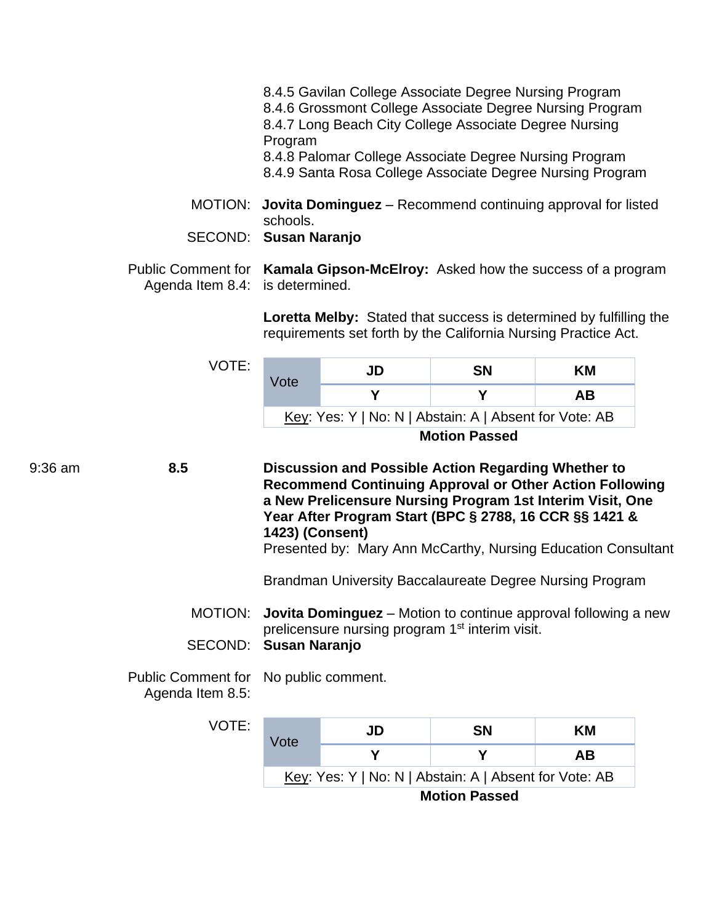- 8.4.5 Gavilan College Associate Degree Nursing Program 8.4.6 Grossmont College Associate Degree Nursing Program 8.4.7 Long Beach City College Associate Degree Nursing Program 8.4.8 Palomar College Associate Degree Nursing Program 8.4.9 Santa Rosa College Associate Degree Nursing Program
- MOTION: **Jovita Dominguez**  Recommend continuing approval for listed schools.
- SECOND: **Susan Naranjo**
- Public Comment for **Kamala Gipson-McElroy:** Asked how the success of a program Agenda Item 8.4: is determined.

**Loretta Melby:** Stated that success is determined by fulfilling the requirements set forth by the California Nursing Practice Act.

|                                                                     | VOTE:                | Vote                                                                                                                                                                                                                                                                                                                             | JD                                                                                                                                   | <b>SN</b>            | <b>KM</b> |  |  |
|---------------------------------------------------------------------|----------------------|----------------------------------------------------------------------------------------------------------------------------------------------------------------------------------------------------------------------------------------------------------------------------------------------------------------------------------|--------------------------------------------------------------------------------------------------------------------------------------|----------------------|-----------|--|--|
|                                                                     |                      |                                                                                                                                                                                                                                                                                                                                  | Y                                                                                                                                    | Y                    | <b>AB</b> |  |  |
|                                                                     |                      |                                                                                                                                                                                                                                                                                                                                  | Key: Yes: Y   No: N   Abstain: A   Absent for Vote: AB                                                                               |                      |           |  |  |
|                                                                     |                      |                                                                                                                                                                                                                                                                                                                                  |                                                                                                                                      | <b>Motion Passed</b> |           |  |  |
| 9:36 am                                                             | 8.5                  | Discussion and Possible Action Regarding Whether to<br><b>Recommend Continuing Approval or Other Action Following</b><br>a New Prelicensure Nursing Program 1st Interim Visit, One<br>Year After Program Start (BPC § 2788, 16 CCR §§ 1421 &<br>1423) (Consent)<br>Presented by: Mary Ann McCarthy, Nursing Education Consultant |                                                                                                                                      |                      |           |  |  |
|                                                                     |                      |                                                                                                                                                                                                                                                                                                                                  | Brandman University Baccalaureate Degree Nursing Program                                                                             |                      |           |  |  |
|                                                                     | MOTION:              |                                                                                                                                                                                                                                                                                                                                  | <b>Jovita Dominguez</b> – Motion to continue approval following a new<br>prelicensure nursing program 1 <sup>st</sup> interim visit. |                      |           |  |  |
|                                                                     | SECOND:              | Susan Naranjo                                                                                                                                                                                                                                                                                                                    |                                                                                                                                      |                      |           |  |  |
| <b>Public Comment for</b><br>No public comment.<br>Agenda Item 8.5: |                      |                                                                                                                                                                                                                                                                                                                                  |                                                                                                                                      |                      |           |  |  |
|                                                                     | VOTE:                | Vote                                                                                                                                                                                                                                                                                                                             | JD                                                                                                                                   | <b>SN</b>            | ΚM        |  |  |
|                                                                     |                      |                                                                                                                                                                                                                                                                                                                                  | Y                                                                                                                                    | Y                    | <b>AB</b> |  |  |
|                                                                     |                      |                                                                                                                                                                                                                                                                                                                                  | Key: Yes: Y   No: N   Abstain: A   Absent for Vote: AB                                                                               |                      |           |  |  |
|                                                                     | <b>Motion Passed</b> |                                                                                                                                                                                                                                                                                                                                  |                                                                                                                                      |                      |           |  |  |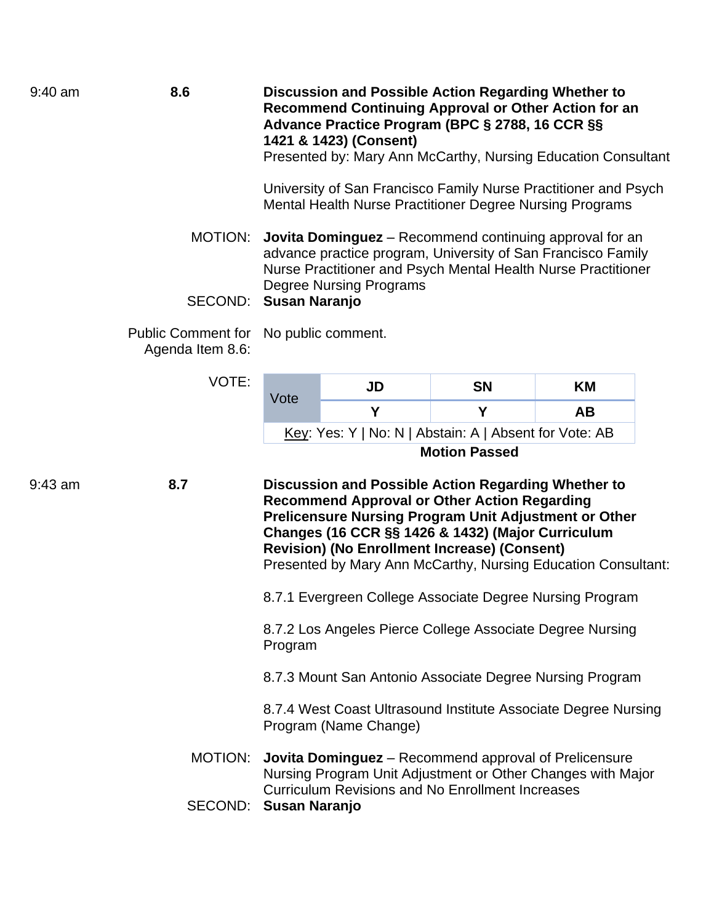| $9:40$ am | 8.6                                           | Discussion and Possible Action Regarding Whether to<br>Recommend Continuing Approval or Other Action for an<br>Advance Practice Program (BPC § 2788, 16 CCR §§<br>1421 & 1423) (Consent)<br>Presented by: Mary Ann McCarthy, Nursing Education Consultant                                                                                               |                                                                                                                             |           |           |  |
|-----------|-----------------------------------------------|---------------------------------------------------------------------------------------------------------------------------------------------------------------------------------------------------------------------------------------------------------------------------------------------------------------------------------------------------------|-----------------------------------------------------------------------------------------------------------------------------|-----------|-----------|--|
|           |                                               |                                                                                                                                                                                                                                                                                                                                                         | University of San Francisco Family Nurse Practitioner and Psych<br>Mental Health Nurse Practitioner Degree Nursing Programs |           |           |  |
|           |                                               | MOTION: Jovita Dominguez – Recommend continuing approval for an<br>advance practice program, University of San Francisco Family<br>Nurse Practitioner and Psych Mental Health Nurse Practitioner<br><b>Degree Nursing Programs</b><br><b>Susan Naranjo</b><br>SECOND:<br>No public comment.                                                             |                                                                                                                             |           |           |  |
|           |                                               |                                                                                                                                                                                                                                                                                                                                                         |                                                                                                                             |           |           |  |
|           | <b>Public Comment for</b><br>Agenda Item 8.6: |                                                                                                                                                                                                                                                                                                                                                         |                                                                                                                             |           |           |  |
|           | VOTE:                                         | Vote                                                                                                                                                                                                                                                                                                                                                    | <b>JD</b>                                                                                                                   | <b>SN</b> | ΚM        |  |
|           |                                               |                                                                                                                                                                                                                                                                                                                                                         | Y                                                                                                                           | Y         | <b>AB</b> |  |
|           |                                               | Key: Yes: Y   No: N   Abstain: A   Absent for Vote: AB                                                                                                                                                                                                                                                                                                  |                                                                                                                             |           |           |  |
|           |                                               | <b>Motion Passed</b>                                                                                                                                                                                                                                                                                                                                    |                                                                                                                             |           |           |  |
| $9:43$ am | 8.7                                           | Discussion and Possible Action Regarding Whether to<br><b>Recommend Approval or Other Action Regarding</b><br><b>Prelicensure Nursing Program Unit Adjustment or Other</b><br>Changes (16 CCR §§ 1426 & 1432) (Major Curriculum<br><b>Revision) (No Enrollment Increase) (Consent)</b><br>Presented by Mary Ann McCarthy, Nursing Education Consultant: |                                                                                                                             |           |           |  |
|           |                                               | 8.7.1 Evergreen College Associate Degree Nursing Program                                                                                                                                                                                                                                                                                                |                                                                                                                             |           |           |  |
|           |                                               | 8.7.2 Los Angeles Pierce College Associate Degree Nursing<br>Program                                                                                                                                                                                                                                                                                    |                                                                                                                             |           |           |  |
|           |                                               | 8.7.3 Mount San Antonio Associate Degree Nursing Program                                                                                                                                                                                                                                                                                                |                                                                                                                             |           |           |  |
|           |                                               | 8.7.4 West Coast Ultrasound Institute Associate Degree Nursing<br>Program (Name Change)                                                                                                                                                                                                                                                                 |                                                                                                                             |           |           |  |
|           |                                               |                                                                                                                                                                                                                                                                                                                                                         | MOTION: Jovita Dominguez - Recommend approval of Prelicensure                                                               |           |           |  |

Nursing Program Unit Adjustment or Other Changes with Major

Curriculum Revisions and No Enrollment Increases SECOND: **Susan Naranjo**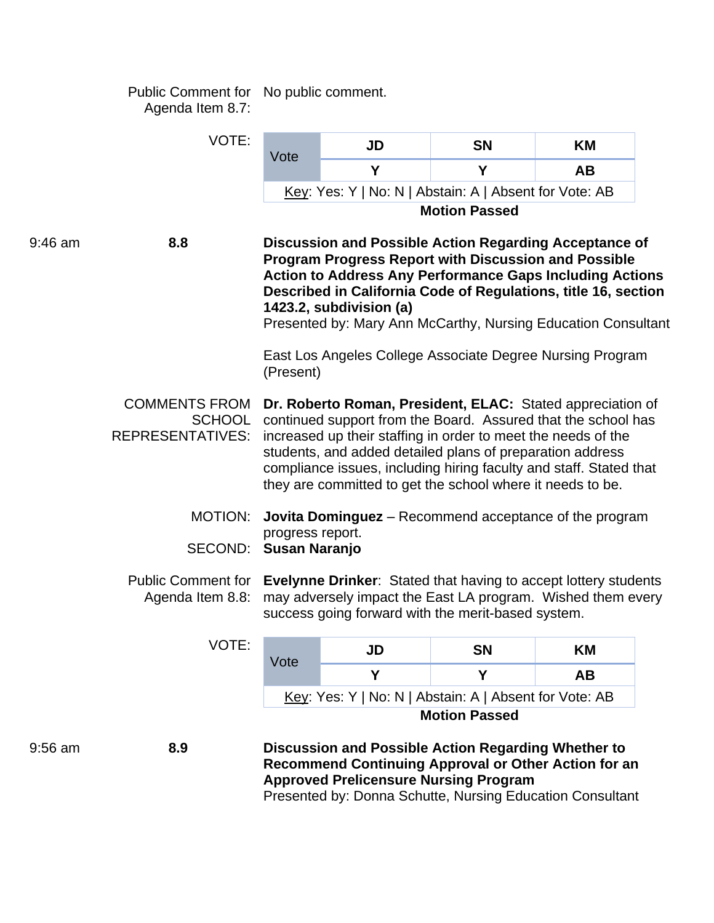Public Comment for No public comment. Agenda Item 8.7:

|           | VOTE:                                                            |                                                                                                                                                                                                                                                                                                                                                                                                                                                                                                                                                                                                                                                                                                                                     | <b>JD</b>                                                                                                                                                   | <b>SN</b>            | KM        |  |  |
|-----------|------------------------------------------------------------------|-------------------------------------------------------------------------------------------------------------------------------------------------------------------------------------------------------------------------------------------------------------------------------------------------------------------------------------------------------------------------------------------------------------------------------------------------------------------------------------------------------------------------------------------------------------------------------------------------------------------------------------------------------------------------------------------------------------------------------------|-------------------------------------------------------------------------------------------------------------------------------------------------------------|----------------------|-----------|--|--|
|           |                                                                  | Vote                                                                                                                                                                                                                                                                                                                                                                                                                                                                                                                                                                                                                                                                                                                                | Y                                                                                                                                                           | Y                    | AB        |  |  |
|           |                                                                  |                                                                                                                                                                                                                                                                                                                                                                                                                                                                                                                                                                                                                                                                                                                                     | Key: Yes: Y   No: N   Abstain: A   Absent for Vote: AB                                                                                                      |                      |           |  |  |
|           |                                                                  |                                                                                                                                                                                                                                                                                                                                                                                                                                                                                                                                                                                                                                                                                                                                     |                                                                                                                                                             | <b>Motion Passed</b> |           |  |  |
| $9:46$ am | 8.8                                                              | Discussion and Possible Action Regarding Acceptance of<br><b>Program Progress Report with Discussion and Possible</b><br><b>Action to Address Any Performance Gaps Including Actions</b><br>Described in California Code of Regulations, title 16, section<br>1423.2, subdivision (a)<br>Presented by: Mary Ann McCarthy, Nursing Education Consultant<br>East Los Angeles College Associate Degree Nursing Program                                                                                                                                                                                                                                                                                                                 |                                                                                                                                                             |                      |           |  |  |
|           | <b>COMMENTS FROM</b><br><b>SCHOOL</b><br><b>REPRESENTATIVES:</b> | (Present)<br>Dr. Roberto Roman, President, ELAC: Stated appreciation of<br>continued support from the Board. Assured that the school has<br>increased up their staffing in order to meet the needs of the<br>students, and added detailed plans of preparation address<br>compliance issues, including hiring faculty and staff. Stated that<br>they are committed to get the school where it needs to be.<br><b>Jovita Dominguez</b> – Recommend acceptance of the program<br>progress report.<br>SECOND: Susan Naranjo<br>Public Comment for Evelynne Drinker: Stated that having to accept lottery students<br>may adversely impact the East LA program. Wished them every<br>success going forward with the merit-based system. |                                                                                                                                                             |                      |           |  |  |
|           | MOTION:                                                          |                                                                                                                                                                                                                                                                                                                                                                                                                                                                                                                                                                                                                                                                                                                                     |                                                                                                                                                             |                      |           |  |  |
|           | Agenda Item 8.8:                                                 |                                                                                                                                                                                                                                                                                                                                                                                                                                                                                                                                                                                                                                                                                                                                     |                                                                                                                                                             |                      |           |  |  |
|           | <b>VOTE:</b>                                                     |                                                                                                                                                                                                                                                                                                                                                                                                                                                                                                                                                                                                                                                                                                                                     | JD                                                                                                                                                          | <b>SN</b>            | ΚM        |  |  |
|           |                                                                  | Vote                                                                                                                                                                                                                                                                                                                                                                                                                                                                                                                                                                                                                                                                                                                                | Y                                                                                                                                                           | Y                    | <b>AB</b> |  |  |
|           |                                                                  |                                                                                                                                                                                                                                                                                                                                                                                                                                                                                                                                                                                                                                                                                                                                     | Key: Yes: Y   No: N   Abstain: A   Absent for Vote: AB                                                                                                      |                      |           |  |  |
|           |                                                                  |                                                                                                                                                                                                                                                                                                                                                                                                                                                                                                                                                                                                                                                                                                                                     |                                                                                                                                                             | <b>Motion Passed</b> |           |  |  |
| $9:56$ am | 8.9                                                              |                                                                                                                                                                                                                                                                                                                                                                                                                                                                                                                                                                                                                                                                                                                                     | Discussion and Possible Action Regarding Whether to<br>Recommend Continuing Approval or Other Action for an<br><b>Approved Prelicensure Nursing Program</b> |                      |           |  |  |

Presented by: Donna Schutte, Nursing Education Consultant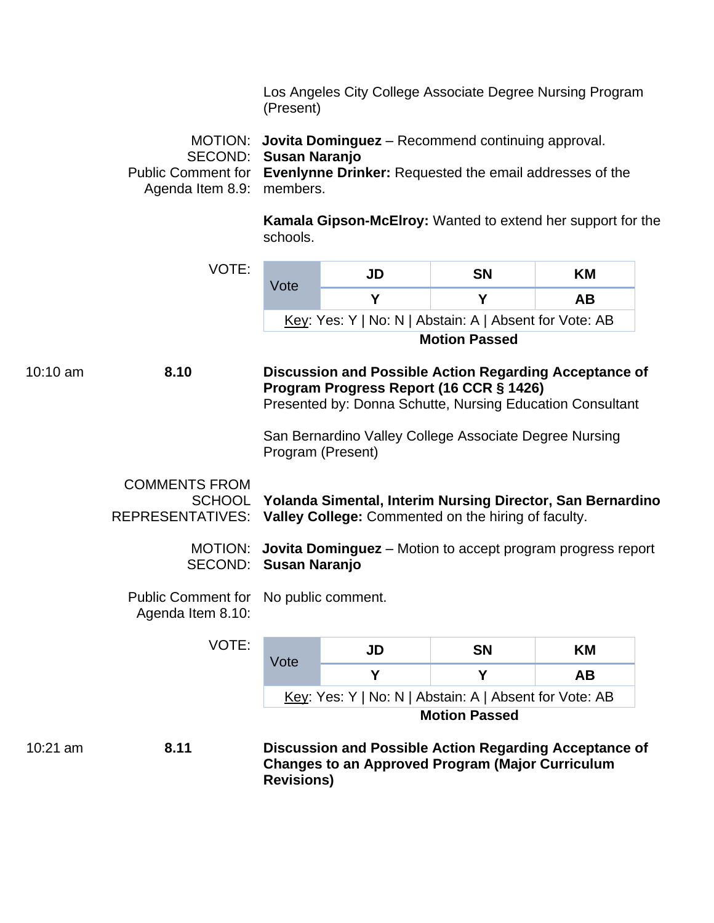Los Angeles City College Associate Degree Nursing Program (Present)

MOTION: **Jovita Dominguez** – Recommend continuing approval. SECOND: **Susan Naranjo**  Public Comment for **Evenlynne Drinker:** Requested the email addresses of the Agenda Item 8.9: members.

> **Kamala Gipson-McElroy:** Wanted to extend her support for the schools.

VOTE:

| Vote                                                   | JD | <b>SN</b> | KМ |  |  |
|--------------------------------------------------------|----|-----------|----|--|--|
|                                                        |    |           | AВ |  |  |
| Key: Yes: Y   No: N   Abstain: A   Absent for Vote: AB |    |           |    |  |  |
| <b>Motion Passed</b>                                   |    |           |    |  |  |

10:10 am **8.10 Discussion and Possible Action Regarding Acceptance of** 

# **Program Progress Report (16 CCR § 1426)**  Presented by: Donna Schutte, Nursing Education Consultant

San Bernardino Valley College Associate Degree Nursing Program (Present)

COMMENTS FROM SCHOOL **Yolanda Simental, Interim Nursing Director, San Bernardino**  REPRESENTATIVES: **Valley College:** Commented on the hiring of faculty.

> MOTION: **Jovita Dominguez** – Motion to accept program progress report SECOND: **Susan Naranjo**

Public Comment for No public comment.

Agenda Item 8.10:

|            | VOTE: | Vote              | JD                                                      | <b>SN</b>            | <b>KM</b>                                              |
|------------|-------|-------------------|---------------------------------------------------------|----------------------|--------------------------------------------------------|
|            |       |                   |                                                         | Υ                    | <b>AB</b>                                              |
|            |       |                   | Key: Yes: Y   No: N   Abstain: A   Absent for Vote: AB  |                      |                                                        |
|            |       |                   |                                                         | <b>Motion Passed</b> |                                                        |
| $10:21$ am | 8.11  | <b>Revisions)</b> | <b>Changes to an Approved Program (Major Curriculum</b> |                      | Discussion and Possible Action Regarding Acceptance of |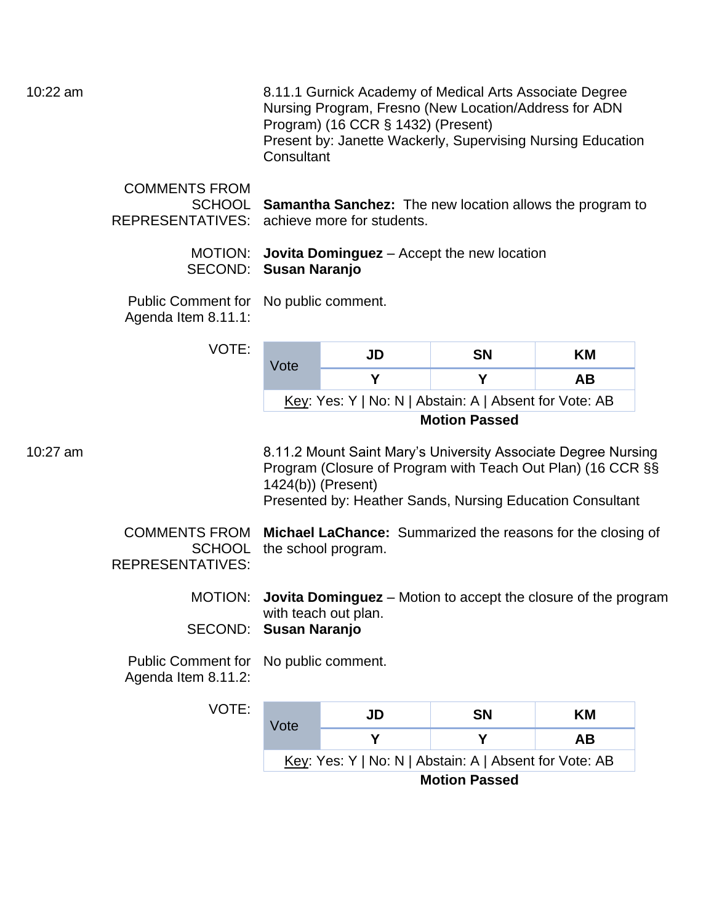10:22 am 8.11.1 Gurnick Academy of Medical Arts Associate Degree Nursing Program, Fresno (New Location/Address for ADN Program) (16 CCR § 1432) (Present) Present by: Janette Wackerly, Supervising Nursing Education **Consultant** 

| <b>COMMENTS FROM</b>                        |                                                                 |  |
|---------------------------------------------|-----------------------------------------------------------------|--|
|                                             | SCHOOL Samantha Sanchez: The new location allows the program to |  |
| REPRESENTATIVES: achieve more for students. |                                                                 |  |

MOTION: **Jovita Dominguez** – Accept the new location SECOND: **Susan Naranjo** 

Public Comment for No public comment. Agenda Item 8.11.1:

| VOTE:<br>Vote |                                                        | JD | SΝ | KM |  |
|---------------|--------------------------------------------------------|----|----|----|--|
|               |                                                        |    |    | AВ |  |
|               | Key: Yes: Y   No: N   Abstain: A   Absent for Vote: AB |    |    |    |  |
|               | <b>Motion Passed</b>                                   |    |    |    |  |

10:27 am 8.11.2 Mount Saint Mary's University Associate Degree Nursing Program (Closure of Program with Teach Out Plan) (16 CCR §§ 1424(b)) (Present) Presented by: Heather Sands, Nursing Education Consultant

> COMMENTS FROM **Michael LaChance:** Summarized the reasons for the closing of SCHOOL the school program. REPRESENTATIVES:

> > MOTION: **Jovita Dominguez** – Motion to accept the closure of the program with teach out plan. SECOND: **Susan Naranjo**

Public Comment for No public comment. Agenda Item 8.11.2:

| VOTE: | Vote                                                   | JD | <b>SN</b> | KМ |  |  |
|-------|--------------------------------------------------------|----|-----------|----|--|--|
|       |                                                        |    |           | AВ |  |  |
|       | Key: Yes: Y   No: N   Abstain: A   Absent for Vote: AB |    |           |    |  |  |
|       | <b>Motion Passed</b>                                   |    |           |    |  |  |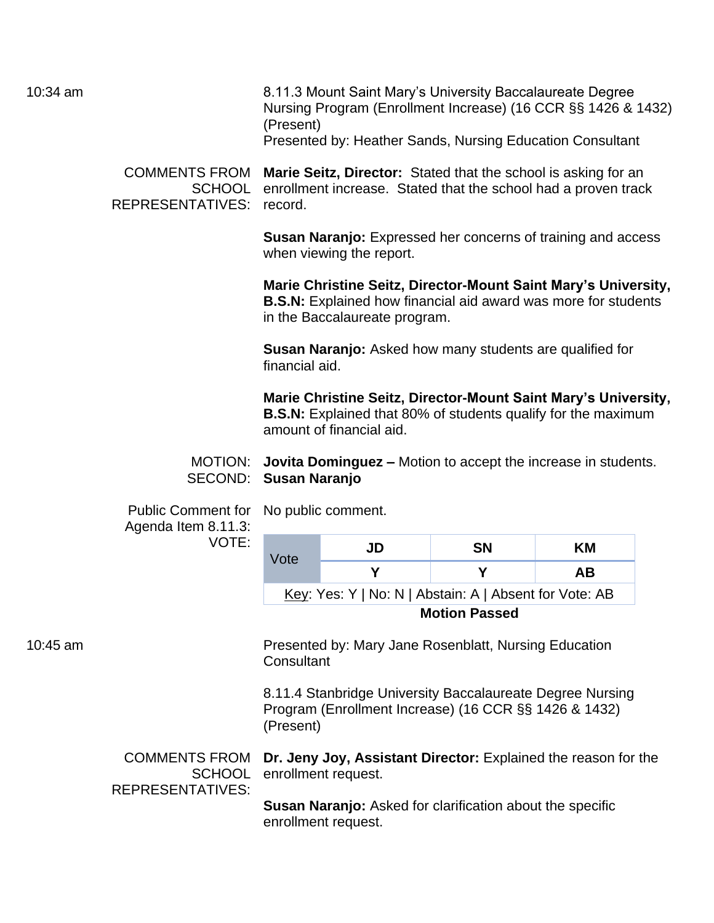10:34 am 8.11.3 Mount Saint Mary's University Baccalaureate Degree Nursing Program (Enrollment Increase) (16 CCR §§ 1426 & 1432) (Present) Presented by: Heather Sands, Nursing Education Consultant

> COMMENTS FROM **Marie Seitz, Director:** Stated that the school is asking for an SCHOOL enrollment increase. Stated that the school had a proven track REPRESENTATIVES: record.

> > **Susan Naranjo:** Expressed her concerns of training and access when viewing the report.

**Marie Christine Seitz, Director-Mount Saint Mary's University, B.S.N:** Explained how financial aid award was more for students in the Baccalaureate program.

**Susan Naranjo:** Asked how many students are qualified for financial aid.

**Marie Christine Seitz, Director-Mount Saint Mary's University, B.S.N:** Explained that 80% of students qualify for the maximum amount of financial aid.

MOTION: **Jovita Dominguez –** Motion to accept the increase in students. SECOND: **Susan Naranjo** 

Public Comment for No public comment. Agenda Item 8.11.3: VOTE:

| Vote | JD                                                     | SΝ | KМ |  |
|------|--------------------------------------------------------|----|----|--|
|      |                                                        |    | AВ |  |
|      | Key: Yes: Y   No: N   Abstain: A   Absent for Vote: AB |    |    |  |
|      |                                                        |    |    |  |

**Motion Passed** 

10:45 am Presented by: Mary Jane Rosenblatt, Nursing Education **Consultant** 

> 8.11.4 Stanbridge University Baccalaureate Degree Nursing Program (Enrollment Increase) (16 CCR §§ 1426 & 1432) (Present)

COMMENTS FROM **Dr. Jeny Joy, Assistant Director:** Explained the reason for the SCHOOL enrollment request. REPRESENTATIVES:

> **Susan Naranjo:** Asked for clarification about the specific enrollment request.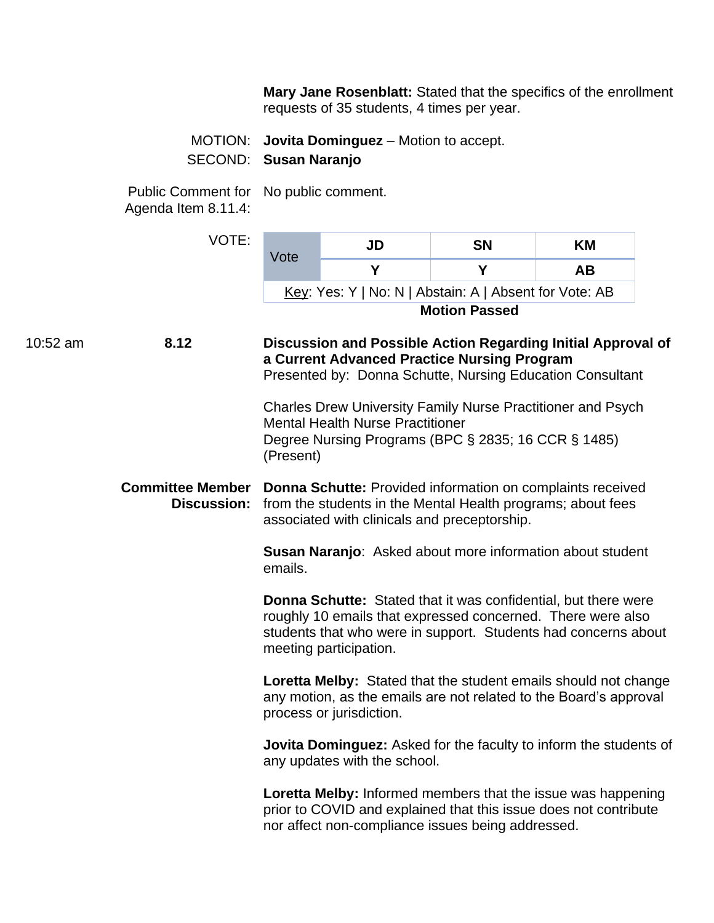**Mary Jane Rosenblatt:** Stated that the specifics of the enrollment requests of 35 students, 4 times per year.

MOTION: **Jovita Dominguez** – Motion to accept. SECOND: **Susan Naranjo** 

Public Comment for No public comment.

Agenda Item 8.11.4:

|          | VOTE:              | Vote                                                                                                                                                                                              | <b>JD</b>                                                                                                                                                                                                                        | <b>SN</b>            | ΚM        |
|----------|--------------------|---------------------------------------------------------------------------------------------------------------------------------------------------------------------------------------------------|----------------------------------------------------------------------------------------------------------------------------------------------------------------------------------------------------------------------------------|----------------------|-----------|
|          |                    |                                                                                                                                                                                                   | Y                                                                                                                                                                                                                                | Y                    | <b>AB</b> |
|          |                    |                                                                                                                                                                                                   | Key: Yes: Y   No: N   Abstain: A   Absent for Vote: AB                                                                                                                                                                           |                      |           |
|          |                    |                                                                                                                                                                                                   |                                                                                                                                                                                                                                  | <b>Motion Passed</b> |           |
| 10:52 am | 8.12               |                                                                                                                                                                                                   | Discussion and Possible Action Regarding Initial Approval of<br>a Current Advanced Practice Nursing Program<br>Presented by: Donna Schutte, Nursing Education Consultant                                                         |                      |           |
|          |                    | (Present)                                                                                                                                                                                         | Charles Drew University Family Nurse Practitioner and Psych<br><b>Mental Health Nurse Practitioner</b><br>Degree Nursing Programs (BPC § 2835; 16 CCR § 1485)                                                                    |                      |           |
|          | <b>Discussion:</b> | <b>Committee Member Donna Schutte: Provided information on complaints received</b><br>from the students in the Mental Health programs; about fees<br>associated with clinicals and preceptorship. |                                                                                                                                                                                                                                  |                      |           |
|          |                    | Susan Naranjo: Asked about more information about student<br>emails.                                                                                                                              |                                                                                                                                                                                                                                  |                      |           |
|          |                    |                                                                                                                                                                                                   | <b>Donna Schutte:</b> Stated that it was confidential, but there were<br>roughly 10 emails that expressed concerned. There were also<br>students that who were in support. Students had concerns about<br>meeting participation. |                      |           |
|          |                    |                                                                                                                                                                                                   | Loretta Melby: Stated that the student emails should not change<br>any motion, as the emails are not related to the Board's approval<br>process or jurisdiction.                                                                 |                      |           |
|          |                    |                                                                                                                                                                                                   | Jovita Dominguez: Asked for the faculty to inform the students of<br>any updates with the school.                                                                                                                                |                      |           |
|          |                    |                                                                                                                                                                                                   | Loretta Melby: Informed members that the issue was happening<br>prior to COVID and explained that this issue does not contribute<br>nor affect non-compliance issues being addressed.                                            |                      |           |